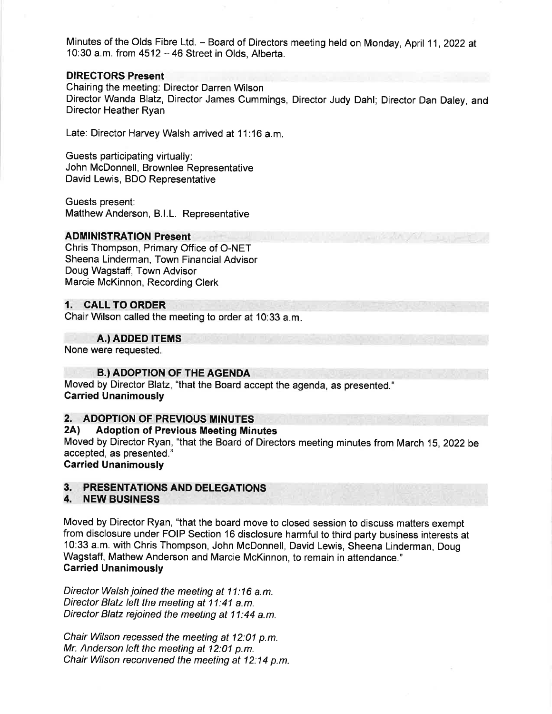Minutes of the Olds Fibre Ltd. - Board of Directors meeting held on Monday, April 11, 2022 at 10:30 a.m. from  $4512 - 46$  Street in Olds, Alberta.

## DIREGTORS Present

Chairing the meeting: Director Darren Wilson Director Wanda Blatz, Director James Cummings, Director Judy Dahl; Director Dan Daley, and Director Heather Ryan

Late: Director Harvey Walsh arrived at 11:16 a.m.

Guests participating virtually: John McDonnell, Brownlee Representative David Lewis, BDO Representative

Guests present: Matthew Anderson, B.l.L. Representative

## ADMINISTRATION Present

Chris Thompson, Primary Office of O-NET Sheena Linderman, Town Financial Advisor Doug Wagstaff, Town Advisor Marcie McKinnon, Recording Clerk

## 1. CALL TO ORDER

Chair Wilson called the meeting to order at 10:33 a.m

## A.) ADDED ITEMS

None were requested.

## **B.) ADOPTION OF THE AGENDA**

Moved by Director Blatz, "that the Board accept the agenda, as presented." Garried Unanimously

# 2. ADOPTION OF PREVIOUS MINUTES<br>2A) Adoption of Previous Meeting Minutes

Moved by Director Ryan, "that the Board of Directors meeting minutes from March 15,2Q22be accepted, as presented."

Garried Unanimously

## 3. PRESENTATIONS AND DELEGATIONS 4. NEW BUSINESS

Moved by Director Ryan, "that the board move to closed session to discuss matters exempt from disclosure under FOIP Section 16 disclosure harmful to third party business interests at 10:33 a.m. with Chris Thompson, John McDonnell, David Lewis, Sheena Linderman, Doug Wagstaff, Mathew Anderson and Marcie McKinnon, to remain in attendance." Garried Unanimously

Director Walsh joined the meeting at 11:16 a.m. Director Blatz left the meeting at 11:41 a.m. Director Blatz rejoined the meeting at 11:44 a.m.

Chair Wilson recessed the meeting at 12:01 p.m. Mr. Anderson left the meeting at 12:01 p.m. Chair Wilson reconvened the meeting at 12:14 p.m.